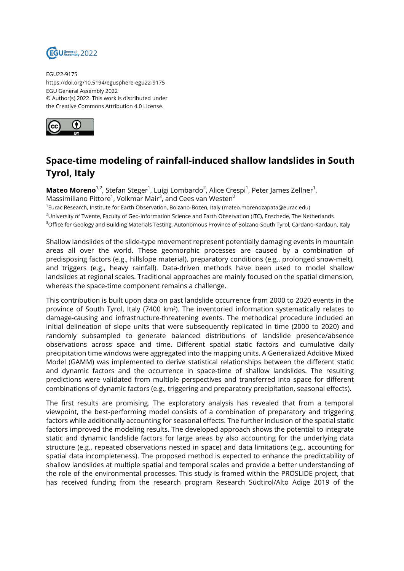

EGU22-9175 https://doi.org/10.5194/egusphere-egu22-9175 EGU General Assembly 2022 © Author(s) 2022. This work is distributed under the Creative Commons Attribution 4.0 License.



## **Space-time modeling of rainfall-induced shallow landslides in South Tyrol, Italy**

**Mateo Moreno**<sup>1,2</sup>, Stefan Steger<sup>1</sup>, Luigi Lombardo<sup>2</sup>, Alice Crespi<sup>1</sup>, Peter James Zellner<sup>1</sup>, Massimiliano Pittore $^1$ , Volkmar Mair $^3$ , and Cees van Westen $^2$ 1 Eurac Research, Institute for Earth Observation, Bolzano-Bozen, Italy (mateo.morenozapata@eurac.edu)

<sup>2</sup>University of Twente, Faculty of Geo-Information Science and Earth Observation (ITC), Enschede, The Netherlands <sup>3</sup>Office for Geology and Building Materials Testing, Autonomous Province of Bolzano-South Tyrol, Cardano-Kardaun, Italy

Shallow landslides of the slide-type movement represent potentially damaging events in mountain areas all over the world. These geomorphic processes are caused by a combination of predisposing factors (e.g., hillslope material), preparatory conditions (e.g., prolonged snow-melt), and triggers (e.g., heavy rainfall). Data-driven methods have been used to model shallow landslides at regional scales. Traditional approaches are mainly focused on the spatial dimension, whereas the space-time component remains a challenge.

This contribution is built upon data on past landslide occurrence from 2000 to 2020 events in the province of South Tyrol, Italy (7400 km²). The inventoried information systematically relates to damage-causing and infrastructure-threatening events. The methodical procedure included an initial delineation of slope units that were subsequently replicated in time (2000 to 2020) and randomly subsampled to generate balanced distributions of landslide presence/absence observations across space and time. Different spatial static factors and cumulative daily precipitation time windows were aggregated into the mapping units. A Generalized Additive Mixed Model (GAMM) was implemented to derive statistical relationships between the different static and dynamic factors and the occurrence in space-time of shallow landslides. The resulting predictions were validated from multiple perspectives and transferred into space for different combinations of dynamic factors (e.g., triggering and preparatory precipitation, seasonal effects).

The first results are promising. The exploratory analysis has revealed that from a temporal viewpoint, the best-performing model consists of a combination of preparatory and triggering factors while additionally accounting for seasonal effects. The further inclusion of the spatial static factors improved the modeling results. The developed approach shows the potential to integrate static and dynamic landslide factors for large areas by also accounting for the underlying data structure (e.g., repeated observations nested in space) and data limitations (e.g., accounting for spatial data incompleteness). The proposed method is expected to enhance the predictability of shallow landslides at multiple spatial and temporal scales and provide a better understanding of the role of the environmental processes. This study is framed within the PROSLIDE project, that has received funding from the research program Research Südtirol/Alto Adige 2019 of the